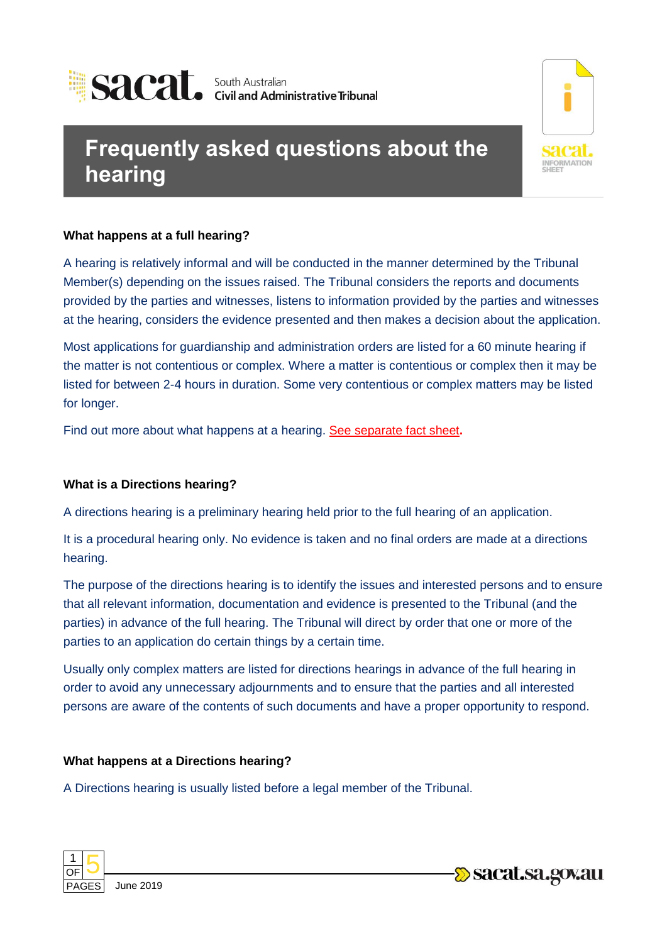

# **Frequently asked questions about the hearing**

## **What happens at a full hearing?**

A hearing is relatively informal and will be conducted in the manner determined by the Tribunal Member(s) depending on the issues raised. The Tribunal considers the reports and documents provided by the parties and witnesses, listens to information provided by the parties and witnesses at the hearing, considers the evidence presented and then makes a decision about the application.

Most applications for guardianship and administration orders are listed for a 60 minute hearing if the matter is not contentious or complex. Where a matter is contentious or complex then it may be listed for between 2-4 hours in duration. Some very contentious or complex matters may be listed for longer.

Find out more about what happens at a hearing. See separate fact sheet**.**

#### **What is a Directions hearing?**

A directions hearing is a preliminary hearing held prior to the full hearing of an application.

It is a procedural hearing only. No evidence is taken and no final orders are made at a directions hearing.

The purpose of the directions hearing is to identify the issues and interested persons and to ensure that all relevant information, documentation and evidence is presented to the Tribunal (and the parties) in advance of the full hearing. The Tribunal will direct by order that one or more of the parties to an application do certain things by a certain time.

Usually only complex matters are listed for directions hearings in advance of the full hearing in order to avoid any unnecessary adjournments and to ensure that the parties and all interested persons are aware of the contents of such documents and have a proper opportunity to respond.

## **What happens at a Directions hearing?**

A Directions hearing is usually listed before a legal member of the Tribunal.



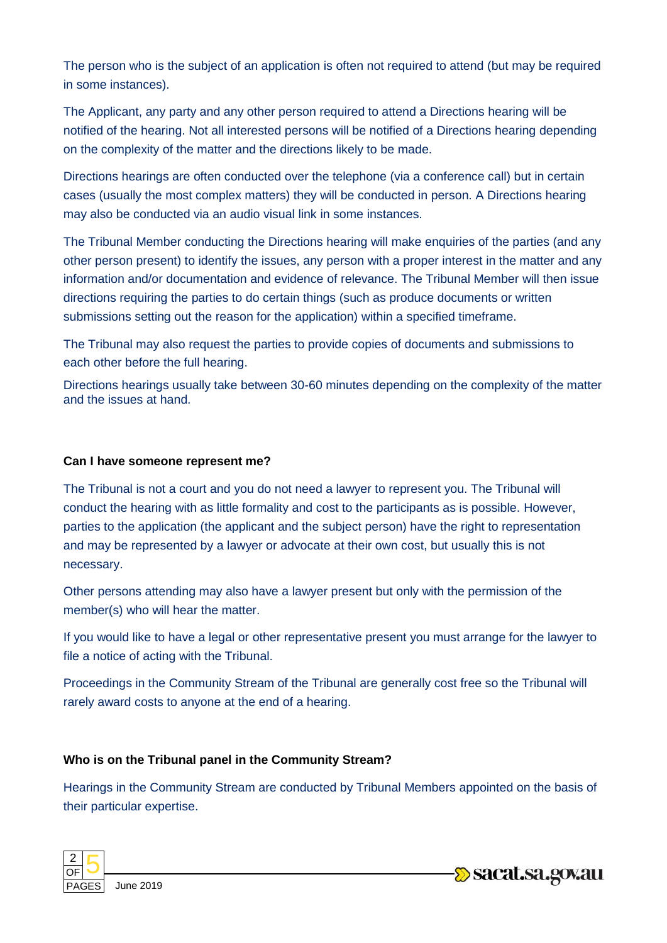The person who is the subject of an application is often not required to attend (but may be required in some instances).

The Applicant, any party and any other person required to attend a Directions hearing will be notified of the hearing. Not all interested persons will be notified of a Directions hearing depending on the complexity of the matter and the directions likely to be made.

Directions hearings are often conducted over the telephone (via a conference call) but in certain cases (usually the most complex matters) they will be conducted in person. A Directions hearing may also be conducted via an audio visual link in some instances.

The Tribunal Member conducting the Directions hearing will make enquiries of the parties (and any other person present) to identify the issues, any person with a proper interest in the matter and any information and/or documentation and evidence of relevance. The Tribunal Member will then issue directions requiring the parties to do certain things (such as produce documents or written submissions setting out the reason for the application) within a specified timeframe.

The Tribunal may also request the parties to provide copies of documents and submissions to each other before the full hearing.

Directions hearings usually take between 30-60 minutes depending on the complexity of the matter and the issues at hand.

#### **Can I have someone represent me?**

The Tribunal is not a court and you do not need a lawyer to represent you. The Tribunal will conduct the hearing with as little formality and cost to the participants as is possible. However, parties to the application (the applicant and the subject person) have the right to representation and may be represented by a lawyer or advocate at their own cost, but usually this is not necessary.

Other persons attending may also have a lawyer present but only with the permission of the member(s) who will hear the matter.

If you would like to have a legal or other representative present you must arrange for the lawyer to file a notice of acting with the Tribunal.

Proceedings in the Community Stream of the Tribunal are generally cost free so the Tribunal will rarely award costs to anyone at the end of a hearing.

#### **Who is on the Tribunal panel in the Community Stream?**

Hearings in the Community Stream are conducted by Tribunal Members appointed on the basis of their particular expertise.



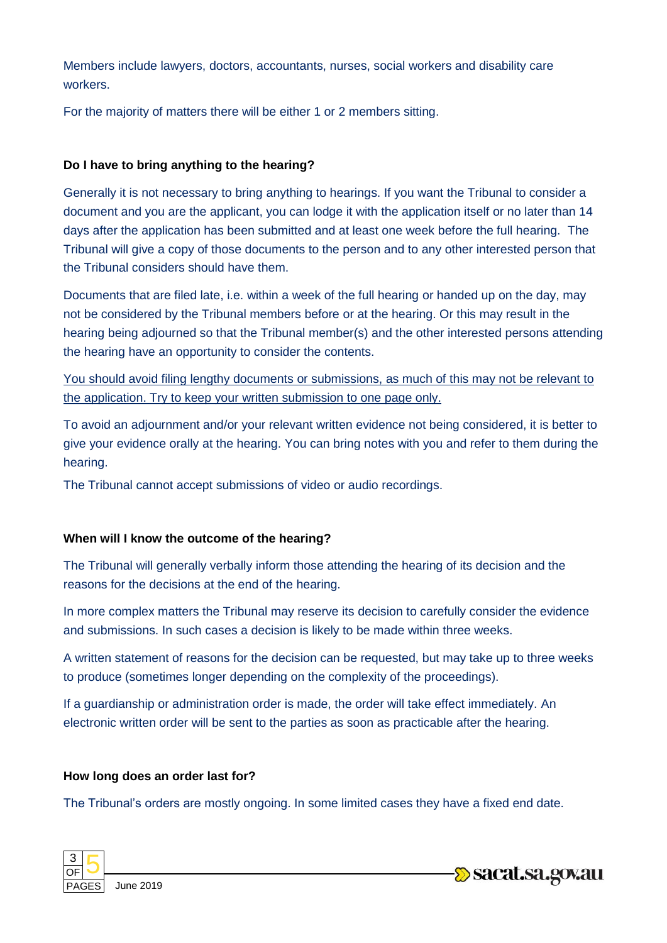Members include lawyers, doctors, accountants, nurses, social workers and disability care workers.

For the majority of matters there will be either 1 or 2 members sitting.

#### **Do I have to bring anything to the hearing?**

Generally it is not necessary to bring anything to hearings. If you want the Tribunal to consider a document and you are the applicant, you can lodge it with the application itself or no later than 14 days after the application has been submitted and at least one week before the full hearing. The Tribunal will give a copy of those documents to the person and to any other interested person that the Tribunal considers should have them.

Documents that are filed late, i.e. within a week of the full hearing or handed up on the day, may not be considered by the Tribunal members before or at the hearing. Or this may result in the hearing being adjourned so that the Tribunal member(s) and the other interested persons attending the hearing have an opportunity to consider the contents.

You should avoid filing lengthy documents or submissions, as much of this may not be relevant to the application. Try to keep your written submission to one page only.

To avoid an adjournment and/or your relevant written evidence not being considered, it is better to give your evidence orally at the hearing. You can bring notes with you and refer to them during the hearing.

The Tribunal cannot accept submissions of video or audio recordings.

## **When will I know the outcome of the hearing?**

The Tribunal will generally verbally inform those attending the hearing of its decision and the reasons for the decisions at the end of the hearing.

In more complex matters the Tribunal may reserve its decision to carefully consider the evidence and submissions. In such cases a decision is likely to be made within three weeks.

A written statement of reasons for the decision can be requested, but may take up to three weeks to produce (sometimes longer depending on the complexity of the proceedings).

If a guardianship or administration order is made, the order will take effect immediately. An electronic written order will be sent to the parties as soon as practicable after the hearing.

#### **How long does an order last for?**

The Tribunal's orders are mostly ongoing. In some limited cases they have a fixed end date.



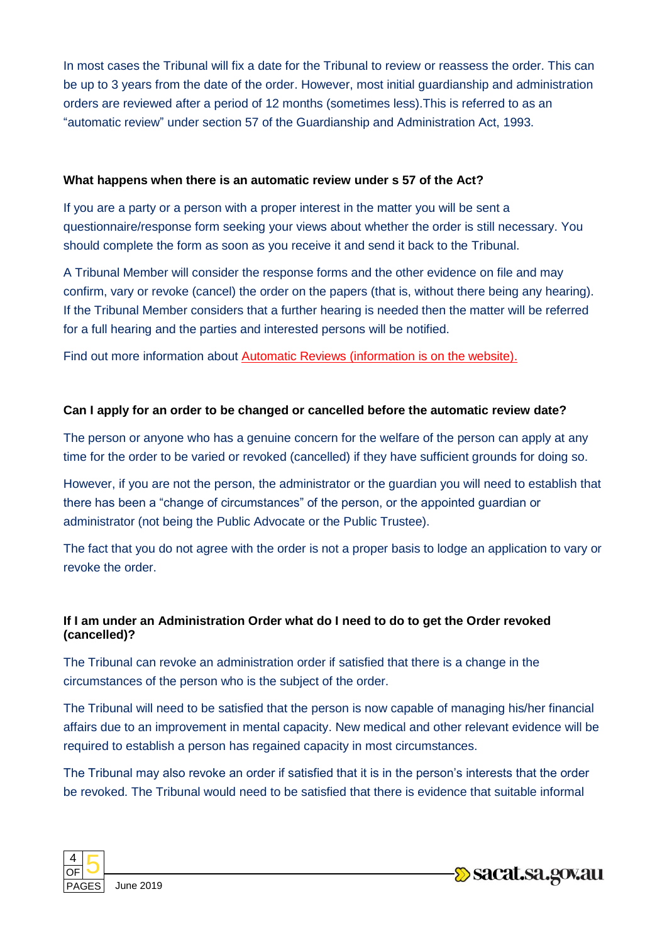In most cases the Tribunal will fix a date for the Tribunal to review or reassess the order. This can be up to 3 years from the date of the order. However, most initial guardianship and administration orders are reviewed after a period of 12 months (sometimes less).This is referred to as an "automatic review" under section 57 of the Guardianship and Administration Act, 1993.

#### **What happens when there is an automatic review under s 57 of the Act?**

If you are a party or a person with a proper interest in the matter you will be sent a questionnaire/response form seeking your views about whether the order is still necessary. You should complete the form as soon as you receive it and send it back to the Tribunal.

A Tribunal Member will consider the response forms and the other evidence on file and may confirm, vary or revoke (cancel) the order on the papers (that is, without there being any hearing). If the Tribunal Member considers that a further hearing is needed then the matter will be referred for a full hearing and the parties and interested persons will be notified.

Find out more information about Automatic Reviews (information is on the website).

#### **Can I apply for an order to be changed or cancelled before the automatic review date?**

The person or anyone who has a genuine concern for the welfare of the person can apply at any time for the order to be varied or revoked (cancelled) if they have sufficient grounds for doing so.

However, if you are not the person, the administrator or the guardian you will need to establish that there has been a "change of circumstances" of the person, or the appointed guardian or administrator (not being the Public Advocate or the Public Trustee).

The fact that you do not agree with the order is not a proper basis to lodge an application to vary or revoke the order.

#### **If I am under an Administration Order what do I need to do to get the Order revoked (cancelled)?**

The Tribunal can revoke an administration order if satisfied that there is a change in the circumstances of the person who is the subject of the order.

The Tribunal will need to be satisfied that the person is now capable of managing his/her financial affairs due to an improvement in mental capacity. New medical and other relevant evidence will be required to establish a person has regained capacity in most circumstances.

The Tribunal may also revoke an order if satisfied that it is in the person's interests that the order be revoked. The Tribunal would need to be satisfied that there is evidence that suitable informal